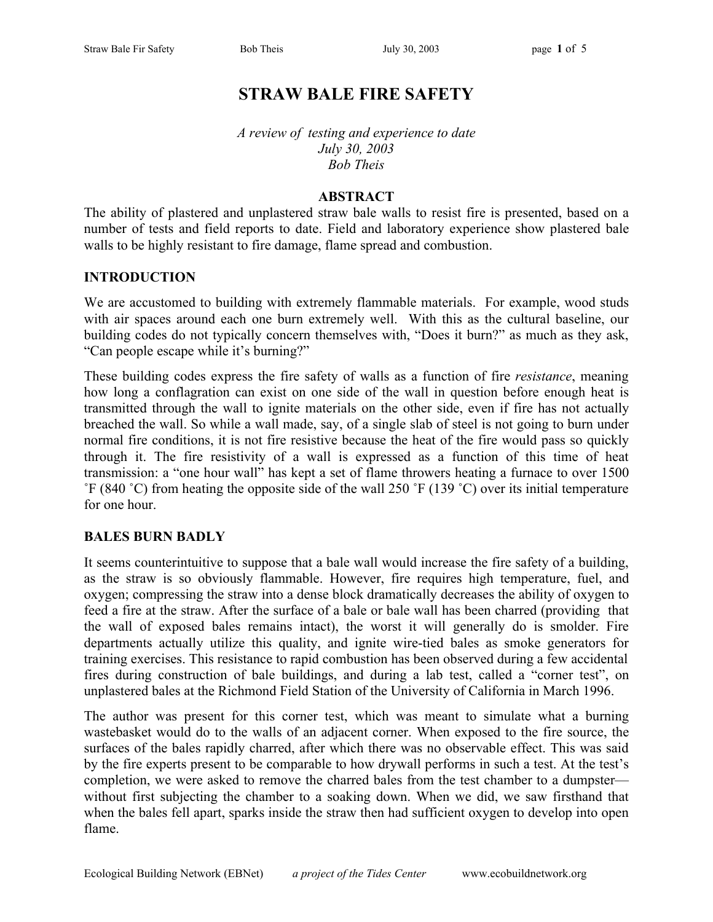# **STRAW BALE FIRE SAFETY**

*A review of testing and experience to date July 30, 2003 Bob Theis*

#### **ABSTRACT**

The ability of plastered and unplastered straw bale walls to resist fire is presented, based on a number of tests and field reports to date. Field and laboratory experience show plastered bale walls to be highly resistant to fire damage, flame spread and combustion.

#### **INTRODUCTION**

We are accustomed to building with extremely flammable materials. For example, wood studs with air spaces around each one burn extremely well. With this as the cultural baseline, our building codes do not typically concern themselves with, "Does it burn?" as much as they ask, "Can people escape while it's burning?"

These building codes express the fire safety of walls as a function of fire *resistance*, meaning how long a conflagration can exist on one side of the wall in question before enough heat is transmitted through the wall to ignite materials on the other side, even if fire has not actually breached the wall. So while a wall made, say, of a single slab of steel is not going to burn under normal fire conditions, it is not fire resistive because the heat of the fire would pass so quickly through it. The fire resistivity of a wall is expressed as a function of this time of heat transmission: a "one hour wall" has kept a set of flame throwers heating a furnace to over 1500 ˚F (840 ˚C) from heating the opposite side of the wall 250 ˚F (139 ˚C) over its initial temperature for one hour.

#### **BALES BURN BADLY**

It seems counterintuitive to suppose that a bale wall would increase the fire safety of a building, as the straw is so obviously flammable. However, fire requires high temperature, fuel, and oxygen; compressing the straw into a dense block dramatically decreases the ability of oxygen to feed a fire at the straw. After the surface of a bale or bale wall has been charred (providing that the wall of exposed bales remains intact), the worst it will generally do is smolder. Fire departments actually utilize this quality, and ignite wire-tied bales as smoke generators for training exercises. This resistance to rapid combustion has been observed during a few accidental fires during construction of bale buildings, and during a lab test, called a "corner test", on unplastered bales at the Richmond Field Station of the University of California in March 1996.

The author was present for this corner test, which was meant to simulate what a burning wastebasket would do to the walls of an adjacent corner. When exposed to the fire source, the surfaces of the bales rapidly charred, after which there was no observable effect. This was said by the fire experts present to be comparable to how drywall performs in such a test. At the test's completion, we were asked to remove the charred bales from the test chamber to a dumpster without first subjecting the chamber to a soaking down. When we did, we saw firsthand that when the bales fell apart, sparks inside the straw then had sufficient oxygen to develop into open flame.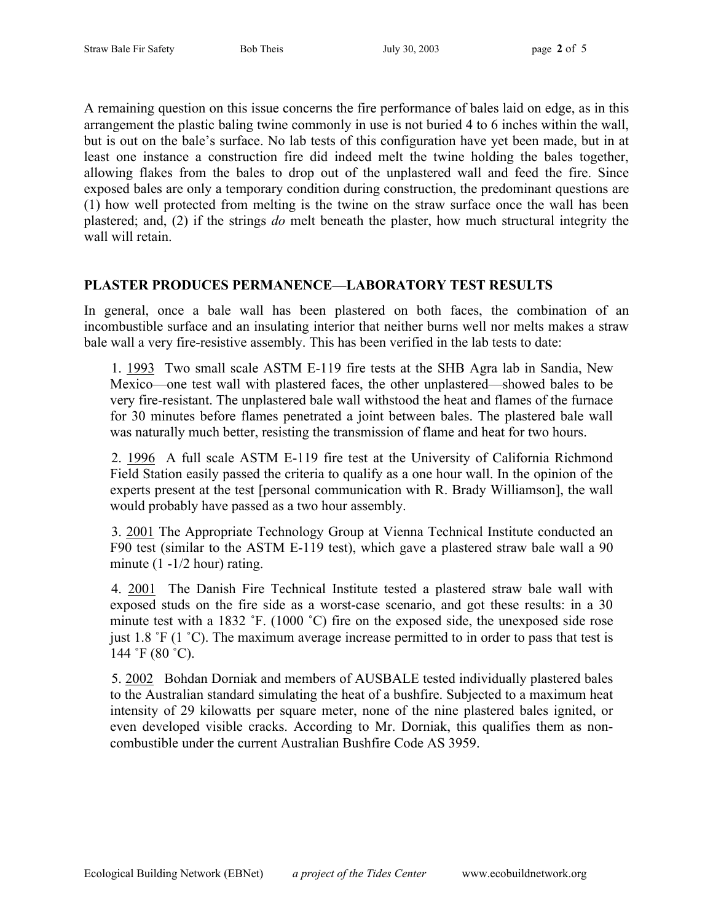A remaining question on this issue concerns the fire performance of bales laid on edge, as in this arrangement the plastic baling twine commonly in use is not buried 4 to 6 inches within the wall, but is out on the bale's surface. No lab tests of this configuration have yet been made, but in at least one instance a construction fire did indeed melt the twine holding the bales together, allowing flakes from the bales to drop out of the unplastered wall and feed the fire. Since exposed bales are only a temporary condition during construction, the predominant questions are (1) how well protected from melting is the twine on the straw surface once the wall has been plastered; and, (2) if the strings *do* melt beneath the plaster, how much structural integrity the wall will retain.

#### **PLASTER PRODUCES PERMANENCE—LABORATORY TEST RESULTS**

In general, once a bale wall has been plastered on both faces, the combination of an incombustible surface and an insulating interior that neither burns well nor melts makes a straw bale wall a very fire-resistive assembly. This has been verified in the lab tests to date:

1. 1993 Two small scale ASTM E-119 fire tests at the SHB Agra lab in Sandia, New Mexico—one test wall with plastered faces, the other unplastered—showed bales to be very fire-resistant. The unplastered bale wall withstood the heat and flames of the furnace for 30 minutes before flames penetrated a joint between bales. The plastered bale wall was naturally much better, resisting the transmission of flame and heat for two hours.

2. 1996 A full scale ASTM E-119 fire test at the University of California Richmond Field Station easily passed the criteria to qualify as a one hour wall. In the opinion of the experts present at the test [personal communication with R. Brady Williamson], the wall would probably have passed as a two hour assembly.

3. 2001 The Appropriate Technology Group at Vienna Technical Institute conducted an F90 test (similar to the ASTM E-119 test), which gave a plastered straw bale wall a 90 minute (1 -1/2 hour) rating.

4. 2001 The Danish Fire Technical Institute tested a plastered straw bale wall with exposed studs on the fire side as a worst-case scenario, and got these results: in a 30 minute test with a 1832 °F. (1000 °C) fire on the exposed side, the unexposed side rose just 1.8 ˚F (1 ˚C). The maximum average increase permitted to in order to pass that test is 144 ˚F (80 ˚C).

5. 2002 Bohdan Dorniak and members of AUSBALE tested individually plastered bales to the Australian standard simulating the heat of a bushfire. Subjected to a maximum heat intensity of 29 kilowatts per square meter, none of the nine plastered bales ignited, or even developed visible cracks. According to Mr. Dorniak, this qualifies them as noncombustible under the current Australian Bushfire Code AS 3959.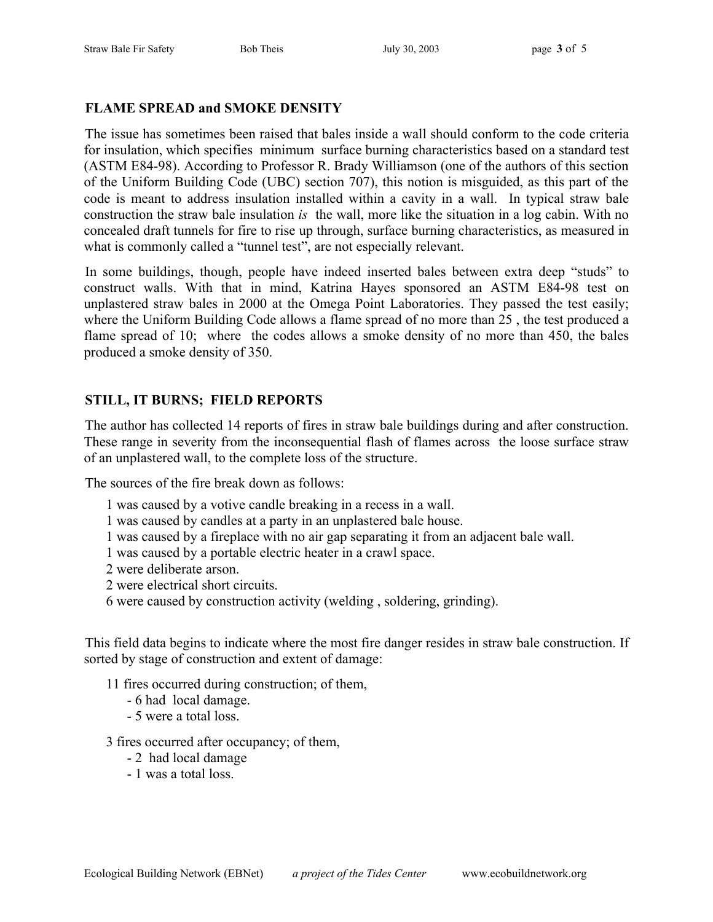## **FLAME SPREAD and SMOKE DENSITY**

The issue has sometimes been raised that bales inside a wall should conform to the code criteria for insulation, which specifies minimum surface burning characteristics based on a standard test (ASTM E84-98). According to Professor R. Brady Williamson (one of the authors of this section of the Uniform Building Code (UBC) section 707), this notion is misguided, as this part of the code is meant to address insulation installed within a cavity in a wall. In typical straw bale construction the straw bale insulation *is* the wall, more like the situation in a log cabin. With no concealed draft tunnels for fire to rise up through, surface burning characteristics, as measured in what is commonly called a "tunnel test", are not especially relevant.

In some buildings, though, people have indeed inserted bales between extra deep "studs" to construct walls. With that in mind, Katrina Hayes sponsored an ASTM E84-98 test on unplastered straw bales in 2000 at the Omega Point Laboratories. They passed the test easily; where the Uniform Building Code allows a flame spread of no more than 25 , the test produced a flame spread of 10; where the codes allows a smoke density of no more than 450, the bales produced a smoke density of 350.

# **STILL, IT BURNS; FIELD REPORTS**

The author has collected 14 reports of fires in straw bale buildings during and after construction. These range in severity from the inconsequential flash of flames across the loose surface straw of an unplastered wall, to the complete loss of the structure.

The sources of the fire break down as follows:

- 1 was caused by a votive candle breaking in a recess in a wall.
- 1 was caused by candles at a party in an unplastered bale house.
- 1 was caused by a fireplace with no air gap separating it from an adjacent bale wall.
- 1 was caused by a portable electric heater in a crawl space.
- 2 were deliberate arson.
- 2 were electrical short circuits.
- 6 were caused by construction activity (welding , soldering, grinding).

This field data begins to indicate where the most fire danger resides in straw bale construction. If sorted by stage of construction and extent of damage:

- 11 fires occurred during construction; of them,
	- 6 had local damage.
	- 5 were a total loss.
- 3 fires occurred after occupancy; of them,
	- 2 had local damage
	- 1 was a total loss.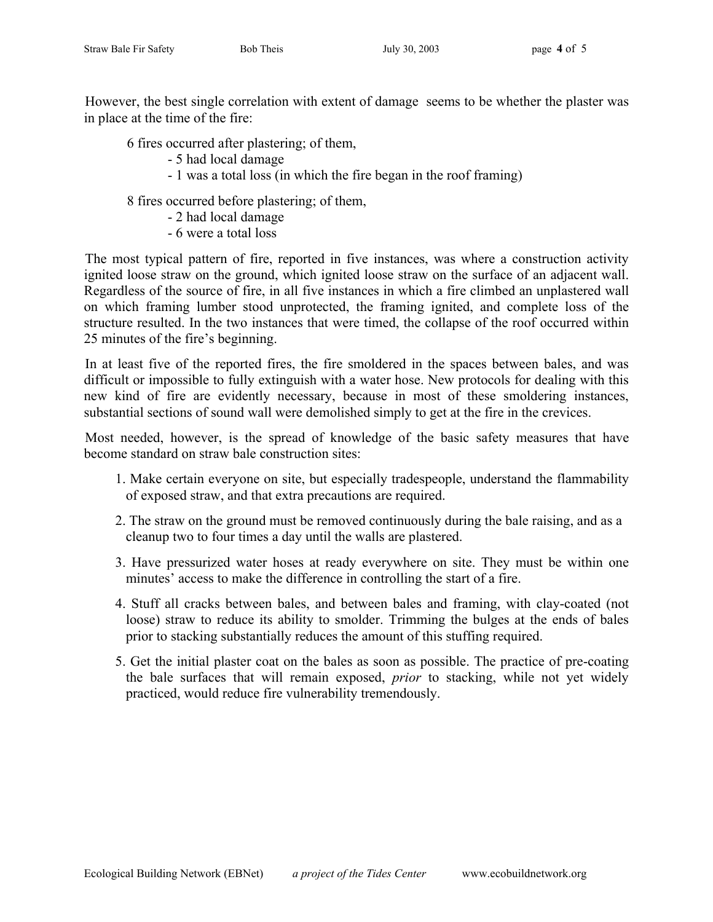However, the best single correlation with extent of damage seems to be whether the plaster was in place at the time of the fire:

6 fires occurred after plastering; of them,

- 5 had local damage
- 1 was a total loss (in which the fire began in the roof framing)

8 fires occurred before plastering; of them,

- 2 had local damage
- 6 were a total loss

The most typical pattern of fire, reported in five instances, was where a construction activity ignited loose straw on the ground, which ignited loose straw on the surface of an adjacent wall. Regardless of the source of fire, in all five instances in which a fire climbed an unplastered wall on which framing lumber stood unprotected, the framing ignited, and complete loss of the structure resulted. In the two instances that were timed, the collapse of the roof occurred within 25 minutes of the fire's beginning.

In at least five of the reported fires, the fire smoldered in the spaces between bales, and was difficult or impossible to fully extinguish with a water hose. New protocols for dealing with this new kind of fire are evidently necessary, because in most of these smoldering instances, substantial sections of sound wall were demolished simply to get at the fire in the crevices.

Most needed, however, is the spread of knowledge of the basic safety measures that have become standard on straw bale construction sites:

- 1. Make certain everyone on site, but especially tradespeople, understand the flammability of exposed straw, and that extra precautions are required.
- 2. The straw on the ground must be removed continuously during the bale raising, and as a cleanup two to four times a day until the walls are plastered.
- 3. Have pressurized water hoses at ready everywhere on site. They must be within one minutes' access to make the difference in controlling the start of a fire.
- 4. Stuff all cracks between bales, and between bales and framing, with clay-coated (not loose) straw to reduce its ability to smolder. Trimming the bulges at the ends of bales prior to stacking substantially reduces the amount of this stuffing required.
- 5. Get the initial plaster coat on the bales as soon as possible. The practice of pre-coating the bale surfaces that will remain exposed, *prior* to stacking, while not yet widely practiced, would reduce fire vulnerability tremendously.